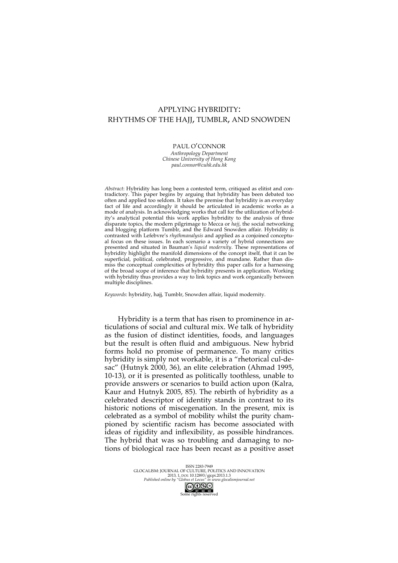# APPLYING HYBRIDITY: RHYTHMS OF THE HAJJ, TUMBLR, AND SNOWDEN

# PAUL O'CONNOR

*Anthropology Department Chinese University of Hong Kong paul.connor@cuhk.edu.hk*

*Abstract*: Hybridity has long been a contested term, critiqued as elitist and contradictory. This paper begins by arguing that hybridity has been debated too often and applied too seldom. It takes the premise that hybridity is an everyday fact of life and accordingly it should be articulated in academic works as a mode of analysis. In acknowledging works that call for the utilization of hybridity's analytical potential this work applies hybridity to the analysis of three disparate topics, the modern pilgrimage to Mecca or *hajj*, the social networking and blogging platform Tumblr, and the Edward Snowden affair. Hybridity is contrasted with Lefebvre's *rhythmanalysis* and applied as a conjoined conceptual focus on these issues. In each scenario a variety of hybrid connections are presented and situated in Bauman's *liquid modernity*. These representations of hybridity highlight the manifold dimensions of the concept itself, that it can be superficial, political, celebrated, progressive, and mundane. Rather than dismiss the conceptual complexities of hybridity this paper calls for a harnessing of the broad scope of inference that hybridity presents in application. Working with hybridity thus provides a way to link topics and work organically between multiple disciplines.

*Keywords*: hybridity, hajj*,* Tumblr, Snowden affair, liquid modernity.

Hybridity is a term that has risen to prominence in articulations of social and cultural mix. We talk of hybridity as the fusion of distinct identities, foods, and languages but the result is often fluid and ambiguous. New hybrid forms hold no promise of permanence. To many critics hybridity is simply not workable, it is a "rhetorical cul-desac" (Hutnyk 2000, 36), an elite celebration (Ahmad 1995, 10-13), or it is presented as politically toothless, unable to provide answers or scenarios to build action upon (Kalra, Kaur and Hutnyk 2005, 85). The rebirth of hybridity as a celebrated descriptor of identity stands in contrast to its historic notions of miscegenation. In the present, mix is celebrated as a symbol of mobility whilst the purity championed by scientific racism has become associated with ideas of rigidity and inflexibility, as possible hindrances. The hybrid that was so troubling and damaging to notions of biological race has been recast as a positive asset

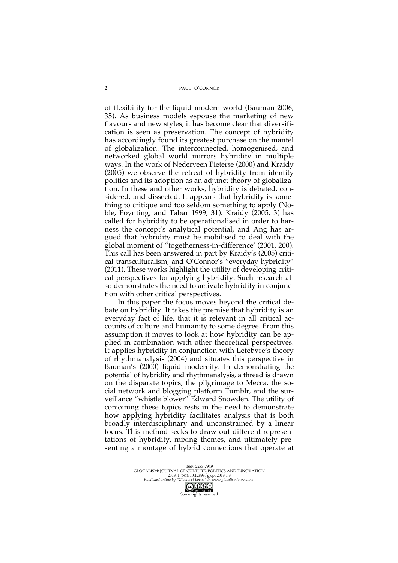of flexibility for the liquid modern world (Bauman 2006, 35). As business models espouse the marketing of new flavours and new styles, it has become clear that diversification is seen as preservation. The concept of hybridity has accordingly found its greatest purchase on the mantel of globalization. The interconnected, homogenised, and networked global world mirrors hybridity in multiple ways. In the work of Nederveen Pieterse (2000) and Kraidy (2005) we observe the retreat of hybridity from identity politics and its adoption as an adjunct theory of globalization. In these and other works, hybridity is debated, considered, and dissected. It appears that hybridity is something to critique and too seldom something to apply (Noble, Poynting, and Tabar 1999, 31). Kraidy (2005, 3) has called for hybridity to be operationalised in order to harness the concept's analytical potential, and Ang has argued that hybridity must be mobilised to deal with the global moment of "togetherness-in-difference' (2001, 200). This call has been answered in part by Kraidy's (2005) critical transculturalism, and O'Connor's "everyday hybridity" (2011). These works highlight the utility of developing critical perspectives for applying hybridity. Such research also demonstrates the need to activate hybridity in conjunction with other critical perspectives.

In this paper the focus moves beyond the critical debate on hybridity. It takes the premise that hybridity is an everyday fact of life, that it is relevant in all critical accounts of culture and humanity to some degree. From this assumption it moves to look at how hybridity can be applied in combination with other theoretical perspectives. It applies hybridity in conjunction with Lefebvre's theory of rhythmanalysis (2004) and situates this perspective in Bauman's (2000) liquid modernity. In demonstrating the potential of hybridity and rhythmanalysis, a thread is drawn on the disparate topics, the pilgrimage to Mecca, the social network and blogging platform Tumblr, and the surveillance "whistle blower" Edward Snowden. The utility of conjoining these topics rests in the need to demonstrate how applying hybridity facilitates analysis that is both broadly interdisciplinary and unconstrained by a linear focus. This method seeks to draw out different representations of hybridity, mixing themes, and ultimately presenting a montage of hybrid connections that operate at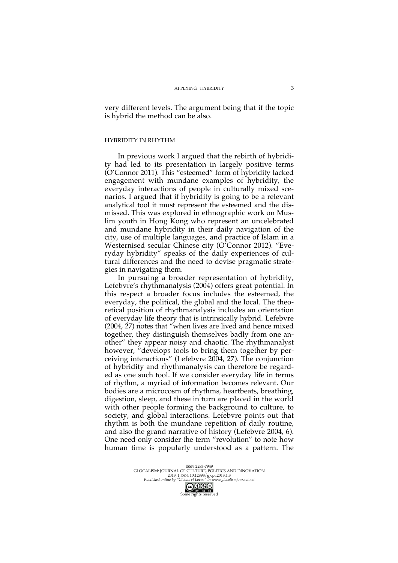very different levels. The argument being that if the topic is hybrid the method can be also.

# HYBRIDITY IN RHYTHM

In previous work I argued that the rebirth of hybridity had led to its presentation in largely positive terms (O'Connor 2011). This "esteemed" form of hybridity lacked engagement with mundane examples of hybridity, the everyday interactions of people in culturally mixed scenarios. I argued that if hybridity is going to be a relevant analytical tool it must represent the esteemed and the dismissed. This was explored in ethnographic work on Muslim youth in Hong Kong who represent an uncelebrated and mundane hybridity in their daily navigation of the city, use of multiple languages, and practice of Islam in a Westernised secular Chinese city (O'Connor 2012). "Everyday hybridity" speaks of the daily experiences of cultural differences and the need to devise pragmatic strategies in navigating them.

In pursuing a broader representation of hybridity, Lefebvre's rhythmanalysis (2004) offers great potential. In this respect a broader focus includes the esteemed, the everyday, the political, the global and the local. The theoretical position of rhythmanalysis includes an orientation of everyday life theory that is intrinsically hybrid. Lefebvre (2004, 27) notes that "when lives are lived and hence mixed together, they distinguish themselves badly from one another" they appear noisy and chaotic. The rhythmanalyst however, "develops tools to bring them together by perceiving interactions" (Lefebvre 2004, 27). The conjunction of hybridity and rhythmanalysis can therefore be regarded as one such tool. If we consider everyday life in terms of rhythm, a myriad of information becomes relevant. Our bodies are a microcosm of rhythms, heartbeats, breathing, digestion, sleep, and these in turn are placed in the world with other people forming the background to culture, to society, and global interactions. Lefebvre points out that rhythm is both the mundane repetition of daily routine, and also the grand narrative of history (Lefebvre 2004, 6). One need only consider the term "revolution" to note how human time is popularly understood as a pattern. The

ISSN 2283-7949<br>GLOCALISM: JOURNAL OF CULTURE, POLITICS AND INNOVATION<br>2013, 1, DOI: 10.12893/gjcpi.2013.1.3<br>*Published online by "Globus et Locus" in www.glocalismjournal.net*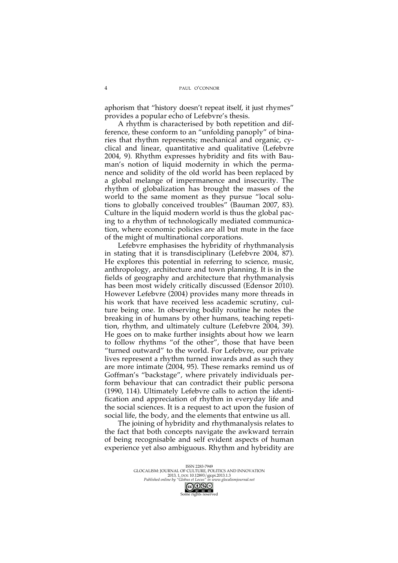aphorism that "history doesn't repeat itself, it just rhymes" provides a popular echo of Lefebvre's thesis.

A rhythm is characterised by both repetition and difference, these conform to an "unfolding panoply" of binaries that rhythm represents; mechanical and organic, cyclical and linear, quantitative and qualitative (Lefebvre 2004, 9). Rhythm expresses hybridity and fits with Bauman's notion of liquid modernity in which the permanence and solidity of the old world has been replaced by a global melange of impermanence and insecurity. The rhythm of globalization has brought the masses of the world to the same moment as they pursue "local solutions to globally conceived troubles" (Bauman 2007, 83). Culture in the liquid modern world is thus the global pacing to a rhythm of technologically mediated communication, where economic policies are all but mute in the face of the might of multinational corporations.

Lefebvre emphasises the hybridity of rhythmanalysis in stating that it is transdisciplinary (Lefebvre 2004, 87). He explores this potential in referring to science, music, anthropology, architecture and town planning. It is in the fields of geography and architecture that rhythmanalysis has been most widely critically discussed (Edensor 2010). However Lefebvre (2004) provides many more threads in his work that have received less academic scrutiny, culture being one. In observing bodily routine he notes the breaking in of humans by other humans, teaching repetition, rhythm, and ultimately culture (Lefebvre 2004, 39). He goes on to make further insights about how we learn to follow rhythms "of the other", those that have been "turned outward" to the world. For Lefebvre, our private lives represent a rhythm turned inwards and as such they are more intimate (2004, 95). These remarks remind us of Goffman's "backstage", where privately individuals perform behaviour that can contradict their public persona (1990, 114). Ultimately Lefebvre calls to action the identification and appreciation of rhythm in everyday life and the social sciences. It is a request to act upon the fusion of social life, the body, and the elements that entwine us all.

The joining of hybridity and rhythmanalysis relates to the fact that both concepts navigate the awkward terrain of being recognisable and self evident aspects of human experience yet also ambiguous. Rhythm and hybridity are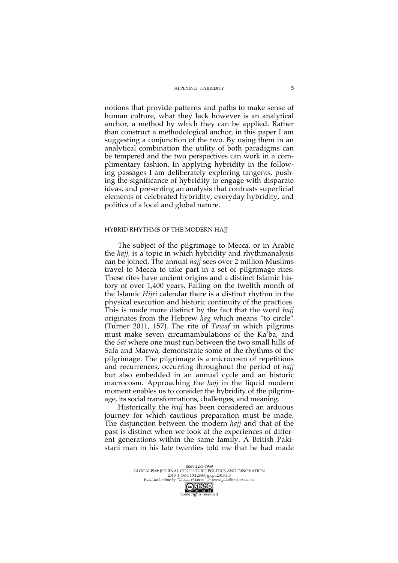## APPLYING HYBRIDITY

notions that provide patterns and paths to make sense of human culture, what they lack however is an analytical anchor, a method by which they can be applied. Rather than construct a methodological anchor, in this paper I am suggesting a conjunction of the two. By using them in an analytical combination the utility of both paradigms can be tempered and the two perspectives can work in a complimentary fashion. In applying hybridity in the following passages I am deliberately exploring tangents, pushing the significance of hybridity to engage with disparate ideas, and presenting an analysis that contrasts superficial elements of celebrated hybridity, everyday hybridity, and politics of a local and global nature.

# HYBRID RHYTHMS OF THE MODERN HAJJ

The subject of the pilgrimage to Mecca, or in Arabic the *hajj,* is a topic in which hybridity and rhythmanalysis can be joined. The annual *hajj* sees over 2 million Muslims travel to Mecca to take part in a set of pilgrimage rites. These rites have ancient origins and a distinct Islamic history of over 1,400 years. Falling on the twelfth month of the Islamic *Hijri* calendar there is a distinct rhythm in the physical execution and historic continuity of the practices. This is made more distinct by the fact that the word *hajj* originates from the Hebrew *hag* which means "to circle" (Turner 2011, 157). The rite of *Tawaf* in which pilgrims must make seven circumambulations of the Ka'ba, and the *Sai* where one must run between the two small hills of Safa and Marwa, demonstrate some of the rhythms of the pilgrimage. The pilgrimage is a microcosm of repetitions and recurrences, occurring throughout the period of *hajj* but also embedded in an annual cycle and an historic macrocosm. Approaching the *hajj* in the liquid modern moment enables us to consider the hybridity of the pilgrimage, its social transformations, challenges, and meaning.

Historically the *hajj* has been considered an arduous journey for which cautious preparation must be made. The disjunction between the modern *hajj* and that of the past is distinct when we look at the experiences of different generations within the same family. A British Pakistani man in his late twenties told me that he had made

ISSN 2283-7949<br>GLOCALISM: JOURNAL OF CULTURE, POLITICS AND INNOVATION<br>2013, 1, DOI: 10.12893/gjcpi.2013.1.3<br>*Published online by "Globus et Locus" in www.glocalismjournal.net*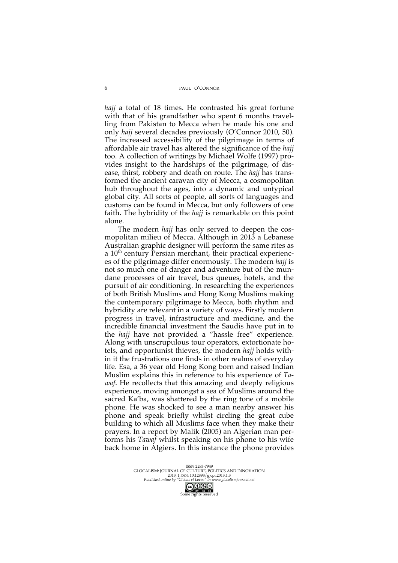*hajj* a total of 18 times. He contrasted his great fortune with that of his grandfather who spent 6 months travelling from Pakistan to Mecca when he made his one and only *hajj* several decades previously (O'Connor 2010, 50). The increased accessibility of the pilgrimage in terms of affordable air travel has altered the significance of the *hajj*  too. A collection of writings by Michael Wolfe (1997) provides insight to the hardships of the pilgrimage, of disease, thirst, robbery and death on route. The *hajj* has transformed the ancient caravan city of Mecca, a cosmopolitan hub throughout the ages, into a dynamic and untypical global city. All sorts of people, all sorts of languages and customs can be found in Mecca, but only followers of one faith. The hybridity of the *hajj* is remarkable on this point alone.

The modern *hajj* has only served to deepen the cosmopolitan milieu of Mecca. Although in 2013 a Lebanese Australian graphic designer will perform the same rites as a  $10<sup>th</sup>$  century Persian merchant, their practical experiences of the pilgrimage differ enormously. The modern *hajj* is not so much one of danger and adventure but of the mundane processes of air travel, bus queues, hotels, and the pursuit of air conditioning. In researching the experiences of both British Muslims and Hong Kong Muslims making the contemporary pilgrimage to Mecca, both rhythm and hybridity are relevant in a variety of ways. Firstly modern progress in travel, infrastructure and medicine, and the incredible financial investment the Saudis have put in to the *hajj* have not provided a "hassle free" experience. Along with unscrupulous tour operators, extortionate hotels, and opportunist thieves, the modern *hajj* holds within it the frustrations one finds in other realms of everyday life. Esa, a 36 year old Hong Kong born and raised Indian Muslim explains this in reference to his experience of *Tawaf*. He recollects that this amazing and deeply religious experience, moving amongst a sea of Muslims around the sacred Ka'ba, was shattered by the ring tone of a mobile phone. He was shocked to see a man nearby answer his phone and speak briefly whilst circling the great cube building to which all Muslims face when they make their prayers. In a report by Malik (2005) an Algerian man performs his *Tawaf* whilst speaking on his phone to his wife back home in Algiers. In this instance the phone provides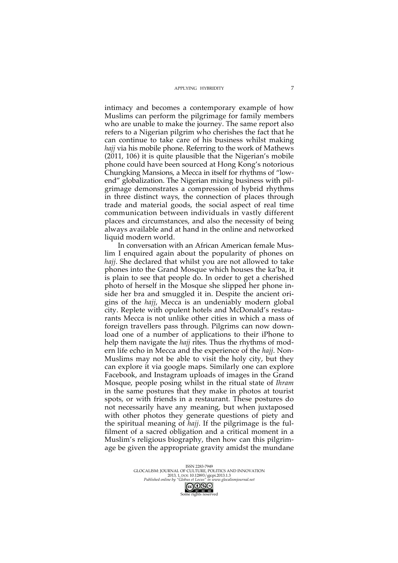#### APPLYING HYBRIDITY

intimacy and becomes a contemporary example of how Muslims can perform the pilgrimage for family members who are unable to make the journey. The same report also refers to a Nigerian pilgrim who cherishes the fact that he can continue to take care of his business whilst making *hajj* via his mobile phone. Referring to the work of Mathews (2011, 106) it is quite plausible that the Nigerian's mobile phone could have been sourced at Hong Kong's notorious Chungking Mansions, a Mecca in itself for rhythms of "lowend" globalization. The Nigerian mixing business with pilgrimage demonstrates a compression of hybrid rhythms in three distinct ways, the connection of places through trade and material goods, the social aspect of real time communication between individuals in vastly different places and circumstances, and also the necessity of being always available and at hand in the online and networked liquid modern world.

In conversation with an African American female Muslim I enquired again about the popularity of phones on *hajj*. She declared that whilst you are not allowed to take phones into the Grand Mosque which houses the ka'ba, it is plain to see that people do. In order to get a cherished photo of herself in the Mosque she slipped her phone inside her bra and smuggled it in. Despite the ancient origins of the *hajj*, Mecca is an undeniably modern global city. Replete with opulent hotels and McDonald's restaurants Mecca is not unlike other cities in which a mass of foreign travellers pass through. Pilgrims can now download one of a number of applications to their iPhone to help them navigate the *hajj* rites*.* Thus the rhythms of modern life echo in Mecca and the experience of the *hajj*. Non-Muslims may not be able to visit the holy city, but they can explore it via google maps. Similarly one can explore Facebook, and Instagram uploads of images in the Grand Mosque, people posing whilst in the ritual state of *Ihram* in the same postures that they make in photos at tourist spots, or with friends in a restaurant. These postures do not necessarily have any meaning, but when juxtaposed with other photos they generate questions of piety and the spiritual meaning of *hajj*. If the pilgrimage is the fulfilment of a sacred obligation and a critical moment in a Muslim's religious biography, then how can this pilgrimage be given the appropriate gravity amidst the mundane

ISSN 2283-7949<br>GLOCALISM: JOURNAL OF CULTURE, POLITICS AND INNOVATION<br>2013, 1, DOI: 10.12893/gjcpi.2013.1.3<br>*Published online by "Globus et Locus" in www.glocalismjournal.net*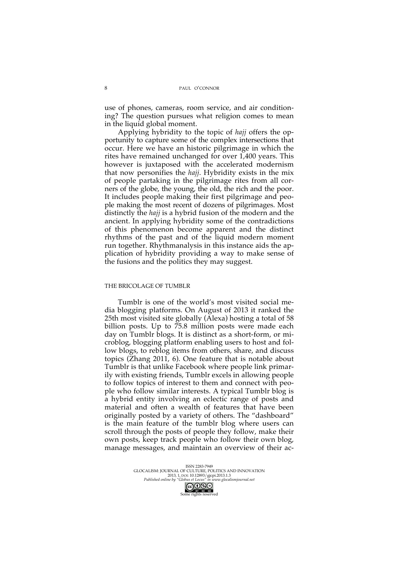use of phones, cameras, room service, and air conditioning? The question pursues what religion comes to mean in the liquid global moment.

Applying hybridity to the topic of *hajj* offers the opportunity to capture some of the complex intersections that occur. Here we have an historic pilgrimage in which the rites have remained unchanged for over 1,400 years. This however is juxtaposed with the accelerated modernism that now personifies the *hajj*. Hybridity exists in the mix of people partaking in the pilgrimage rites from all corners of the globe, the young, the old, the rich and the poor. It includes people making their first pilgrimage and people making the most recent of dozens of pilgrimages. Most distinctly the *hajj* is a hybrid fusion of the modern and the ancient. In applying hybridity some of the contradictions of this phenomenon become apparent and the distinct rhythms of the past and of the liquid modern moment run together. Rhythmanalysis in this instance aids the application of hybridity providing a way to make sense of the fusions and the politics they may suggest.

# THE BRICOLAGE OF TUMBLR

Tumblr is one of the world's most visited social media blogging platforms. On August of 2013 it ranked the 25th most visited site globally (Alexa) hosting a total of 58 billion posts. Up to 75.8 million posts were made each day on Tumblr blogs. It is distinct as a short-form, or microblog, blogging platform enabling users to host and follow blogs, to reblog items from others, share, and discuss topics (Zhang 2011, 6). One feature that is notable about Tumblr is that unlike Facebook where people link primarily with existing friends, Tumblr excels in allowing people to follow topics of interest to them and connect with people who follow similar interests. A typical Tumblr blog is a hybrid entity involving an eclectic range of posts and material and often a wealth of features that have been originally posted by a variety of others. The "dashboard" is the main feature of the tumblr blog where users can scroll through the posts of people they follow, make their own posts, keep track people who follow their own blog, manage messages, and maintain an overview of their ac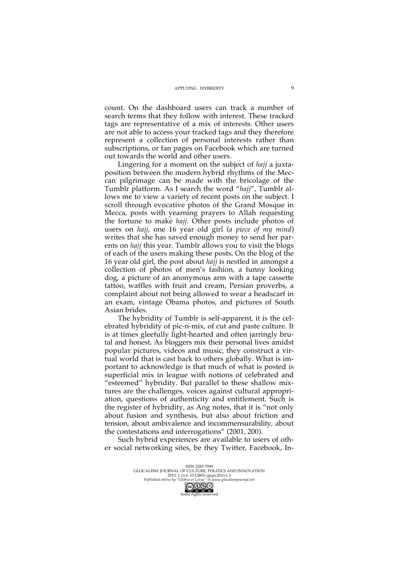count. On the dashboard users can track a number of search terms that they follow with interest. These tracked tags are representative of a mix of interests. Other users are not able to access your tracked tags and they therefore represent a collection of personal interests rather than subscriptions, or fan pages on Facebook which are turned out towards the world and other users.

Lingering for a moment on the subject of *hajj* a juxtaposition between the modern hybrid rhythms of the Meccan pilgrimage can be made with the bricolage of the Tumblr platform. As I search the word "*hajj*", Tumblr allows me to view a variety of recent posts on the subject. I scroll through evocative photos of the Grand Mosque in Mecca, posts with yearning prayers to Allah requesting the fortune to make *hajj*. Other posts include photos of users on *hajj*, one 16 year old girl (*a piece of my mind*) writes that she has saved enough money to send her parents on *hajj* this year. Tumblr allows you to visit the blogs of each of the users making these posts. On the blog of the 16 year old girl, the post about *hajj* is nestled in amongst a collection of photos of men's fashion, a funny looking dog, a picture of an anonymous arm with a tape cassette tattoo, waffles with fruit and cream, Persian proverbs, a complaint about not being allowed to wear a headscarf in an exam, vintage Obama photos, and pictures of South Asian brides.

The hybridity of Tumblr is self-apparent, it is the celebrated hybridity of pic-n-mix, of cut and paste culture. It is at times gleefully light-hearted and often jarringly brutal and honest. As bloggers mix their personal lives amidst popular pictures, videos and music, they construct a virtual world that is cast back to others globally. What is important to acknowledge is that much of what is posted is superficial mix in league with notions of celebrated and "esteemed" hybridity. But parallel to these shallow mixtures are the challenges, voices against cultural appropriation, questions of authenticity and entitlement. Such is the register of hybridity, as Ang notes, that it is "not only about fusion and synthesis, but also about friction and tension, about ambivalence and incommensurability, about the contestations and interrogations" (2001, 200).

Such hybrid experiences are available to users of other social networking sites, be they Twitter, Facebook, In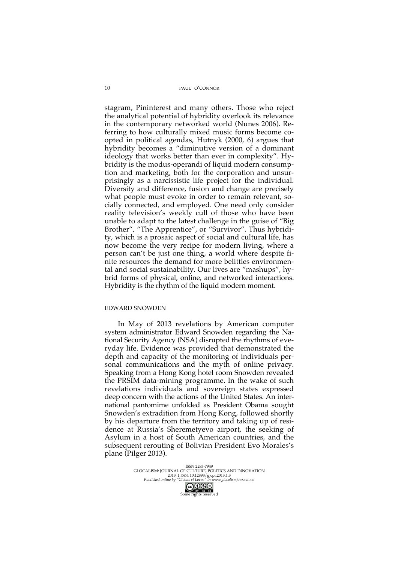PAUL O'CONNOR

stagram, Pininterest and many others. Those who reject the analytical potential of hybridity overlook its relevance in the contemporary networked world (Nunes 2006). Referring to how culturally mixed music forms become coopted in political agendas, Hutnyk (2000, 6) argues that hybridity becomes a "diminutive version of a dominant ideology that works better than ever in complexity". Hybridity is the modus-operandi of liquid modern consumption and marketing, both for the corporation and unsurprisingly as a narcissistic life project for the individual. Diversity and difference, fusion and change are precisely what people must evoke in order to remain relevant, socially connected, and employed. One need only consider reality television's weekly cull of those who have been unable to adapt to the latest challenge in the guise of "Big Brother", "The Apprentice", or "Survivor". Thus hybridity, which is a prosaic aspect of social and cultural life, has now become the very recipe for modern living, where a person can't be just one thing, a world where despite finite resources the demand for more belittles environmental and social sustainability. Our lives are "mashups", hybrid forms of physical, online, and networked interactions. Hybridity is the rhythm of the liquid modern moment.

#### EDWARD SNOWDEN

In May of 2013 revelations by American computer system administrator Edward Snowden regarding the National Security Agency (NSA) disrupted the rhythms of everyday life. Evidence was provided that demonstrated the depth and capacity of the monitoring of individuals personal communications and the myth of online privacy. Speaking from a Hong Kong hotel room Snowden revealed the PRSIM data-mining programme. In the wake of such revelations individuals and sovereign states expressed deep concern with the actions of the United States. An international pantomime unfolded as President Obama sought Snowden's extradition from Hong Kong, followed shortly by his departure from the territory and taking up of residence at Russia's Sheremetyevo airport, the seeking of Asylum in a host of South American countries, and the subsequent rerouting of Bolivian President Evo Morales's plane (Pilger 2013).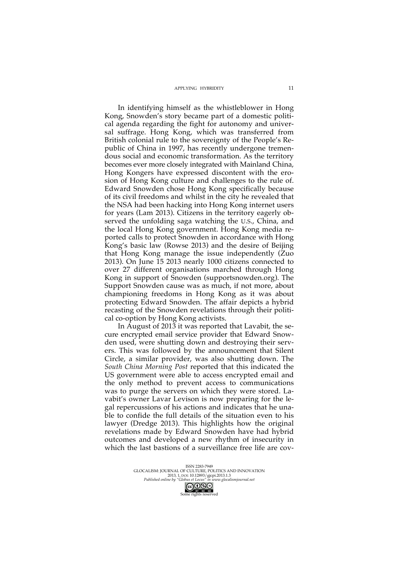#### APPLYING HYBRIDITY

In identifying himself as the whistleblower in Hong Kong, Snowden's story became part of a domestic political agenda regarding the fight for autonomy and universal suffrage. Hong Kong, which was transferred from British colonial rule to the sovereignty of the People's Republic of China in 1997, has recently undergone tremendous social and economic transformation. As the territory becomes ever more closely integrated with Mainland China, Hong Kongers have expressed discontent with the erosion of Hong Kong culture and challenges to the rule of. Edward Snowden chose Hong Kong specifically because of its civil freedoms and whilst in the city he revealed that the NSA had been hacking into Hong Kong internet users for years (Lam 2013). Citizens in the territory eagerly observed the unfolding saga watching the U.S., China, and the local Hong Kong government. Hong Kong media reported calls to protect Snowden in accordance with Hong Kong's basic law (Rowse 2013) and the desire of Beijing that Hong Kong manage the issue independently (Zuo 2013). On June 15 2013 nearly 1000 citizens connected to over 27 different organisations marched through Hong Kong in support of Snowden (supportsnowden.org). The Support Snowden cause was as much, if not more, about championing freedoms in Hong Kong as it was about protecting Edward Snowden. The affair depicts a hybrid recasting of the Snowden revelations through their political co-option by Hong Kong activists.

In August of 2013 it was reported that Lavabit, the secure encrypted email service provider that Edward Snowden used, were shutting down and destroying their servers. This was followed by the announcement that Silent Circle, a similar provider, was also shutting down. The *South China Morning Post* reported that this indicated the US government were able to access encrypted email and the only method to prevent access to communications was to purge the servers on which they were stored. Lavabit's owner Lavar Levison is now preparing for the legal repercussions of his actions and indicates that he unable to confide the full details of the situation even to his lawyer (Dredge 2013). This highlights how the original revelations made by Edward Snowden have had hybrid outcomes and developed a new rhythm of insecurity in which the last bastions of a surveillance free life are cov-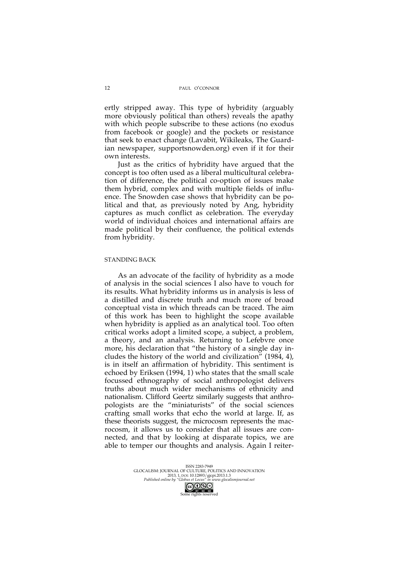ertly stripped away. This type of hybridity (arguably more obviously political than others) reveals the apathy with which people subscribe to these actions (no exodus from facebook or google) and the pockets or resistance that seek to enact change (Lavabit, Wikileaks, The Guardian newspaper, supportsnowden.org) even if it for their own interests.

Just as the critics of hybridity have argued that the concept is too often used as a liberal multicultural celebration of difference, the political co-option of issues make them hybrid, complex and with multiple fields of influence. The Snowden case shows that hybridity can be political and that, as previously noted by Ang, hybridity captures as much conflict as celebration. The everyday world of individual choices and international affairs are made political by their confluence, the political extends from hybridity.

# STANDING BACK

As an advocate of the facility of hybridity as a mode of analysis in the social sciences I also have to vouch for its results. What hybridity informs us in analysis is less of a distilled and discrete truth and much more of broad conceptual vista in which threads can be traced. The aim of this work has been to highlight the scope available when hybridity is applied as an analytical tool. Too often critical works adopt a limited scope, a subject, a problem, a theory, and an analysis. Returning to Lefebvre once more, his declaration that "the history of a single day includes the history of the world and civilization" (1984, 4), is in itself an affirmation of hybridity. This sentiment is echoed by Eriksen (1994, 1) who states that the small scale focussed ethnography of social anthropologist delivers truths about much wider mechanisms of ethnicity and nationalism. Clifford Geertz similarly suggests that anthropologists are the "miniaturists" of the social sciences crafting small works that echo the world at large. If, as these theorists suggest, the microcosm represents the macrocosm, it allows us to consider that all issues are connected, and that by looking at disparate topics, we are able to temper our thoughts and analysis. Again I reiter-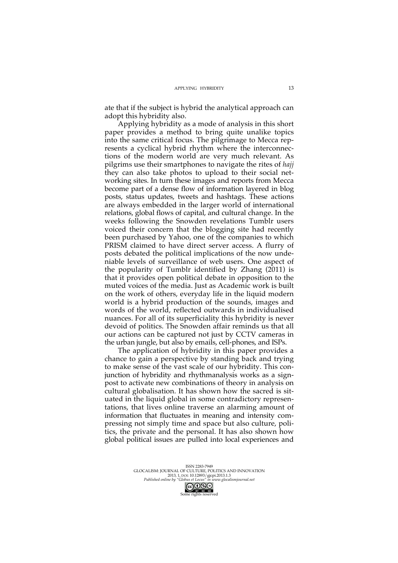ate that if the subject is hybrid the analytical approach can adopt this hybridity also.

Applying hybridity as a mode of analysis in this short paper provides a method to bring quite unalike topics into the same critical focus. The pilgrimage to Mecca represents a cyclical hybrid rhythm where the interconnections of the modern world are very much relevant. As pilgrims use their smartphones to navigate the rites of *hajj* they can also take photos to upload to their social networking sites. In turn these images and reports from Mecca become part of a dense flow of information layered in blog posts, status updates, tweets and hashtags. These actions are always embedded in the larger world of international relations, global flows of capital, and cultural change. In the weeks following the Snowden revelations Tumblr users voiced their concern that the blogging site had recently been purchased by Yahoo, one of the companies to which PRISM claimed to have direct server access. A flurry of posts debated the political implications of the now undeniable levels of surveillance of web users. One aspect of the popularity of Tumblr identified by Zhang (2011) is that it provides open political debate in opposition to the muted voices of the media. Just as Academic work is built on the work of others, everyday life in the liquid modern world is a hybrid production of the sounds, images and words of the world, reflected outwards in individualised nuances. For all of its superficiality this hybridity is never devoid of politics. The Snowden affair reminds us that all our actions can be captured not just by CCTV cameras in the urban jungle, but also by emails, cell-phones, and ISPs.

The application of hybridity in this paper provides a chance to gain a perspective by standing back and trying to make sense of the vast scale of our hybridity. This conjunction of hybridity and rhythmanalysis works as a signpost to activate new combinations of theory in analysis on cultural globalisation. It has shown how the sacred is situated in the liquid global in some contradictory representations, that lives online traverse an alarming amount of information that fluctuates in meaning and intensity compressing not simply time and space but also culture, politics, the private and the personal. It has also shown how global political issues are pulled into local experiences and

ISSN 2283-7949<br>GLOCALISM: JOURNAL OF CULTURE, POLITICS AND INNOVATION<br>2013, 1, DOI: 10.12893/gjcpi.2013.1.3<br>*Published online by "Globus et Locus" in www.glocalismjournal.net*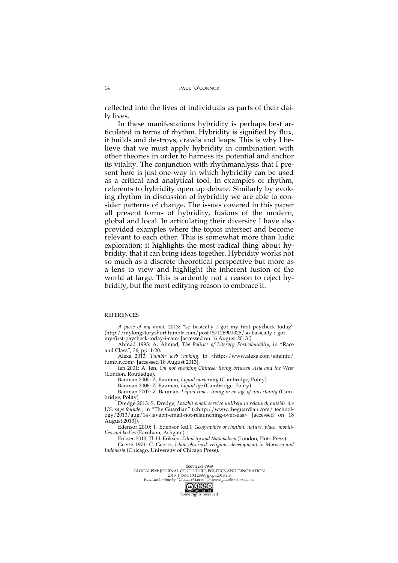reflected into the lives of individuals as parts of their daily lives.

In these manifestations hybridity is perhaps best articulated in terms of rhythm. Hybridity is signified by flux, it builds and destroys, crawls and leaps. This is why I believe that we must apply hybridity in combination with other theories in order to harness its potential and anchor its vitality. The conjunction with rhythmanalysis that I present here is just one-way in which hybridity can be used as a critical and analytical tool. In examples of rhythm, referents to hybridity open up debate. Similarly by evoking rhythm in discussion of hybridity we are able to consider patterns of change. The issues covered in this paper all present forms of hybridity, fusions of the modern, global and local. In articulating their diversity I have also provided examples where the topics intersect and become relevant to each other. This is somewhat more than ludic exploration; it highlights the most radical thing about hybridity, that it can bring ideas together. Hybridity works not so much as a discrete theoretical perspective but more as a lens to view and highlight the inherent fusion of the world at large. This is ardently not a reason to reject hybridity, but the most edifying reason to embrace it.

# REFERENCES

*A piece of my mind*, 2013: "so basically I got my first paycheck today" (http://mylongstoryshort.tumblr.com/post/57126901325/so-basically-i-gotmy-first-paycheck-today-i-can> [accessed on 16 August 2013]).

Ahmad 1995: A. Ahmad, *The Politics of Literary Postcoloniality*, in "Race and Class", 36, pp. 1-20.

Alexa 2013: *Tumblr web ranking*, in <http://www.alexa.com/siteinfo/ tumblr.com> [accessed 18 August 2013].

Ien 2001: A. Ien, *On not speaking Chinese: living between Asia and the West* (London, Routledge).

Bauman 2000: Z. Bauman, *Liquid modernity* (Cambridge, Polity).

Bauman 2006: Z. Bauman, *Liquid life* (Cambridge, Polity).

Bauman 2007: Z. Bauman, *Liquid times: living in an age of uncertainty* (Cambridge, Polity).

Dredge 2013: S. Dredge, *Lavabit email service unlikely to relaunch outside the US, says founder*, in "The Guardian" (<http://www.theguardian.com/ technology/2013/aug/14/lavabit-email-not-relaunching-overseas> [accessed on 18 August 2013]).

Edensor 2010: T. Edensor (ed.), *Geographies of rhythm: nature, place, mobilities and bodies* (Farnham, Ashgate).

Eriksen 2010: Th.H. Eriksen, *Ethnicity and Nationalism* (London, Pluto Press).

Geertz 1971: C. Geertz, *Islam observed: religious development in Morocco and Indonesia* (Chicago, University of Chicago Press).